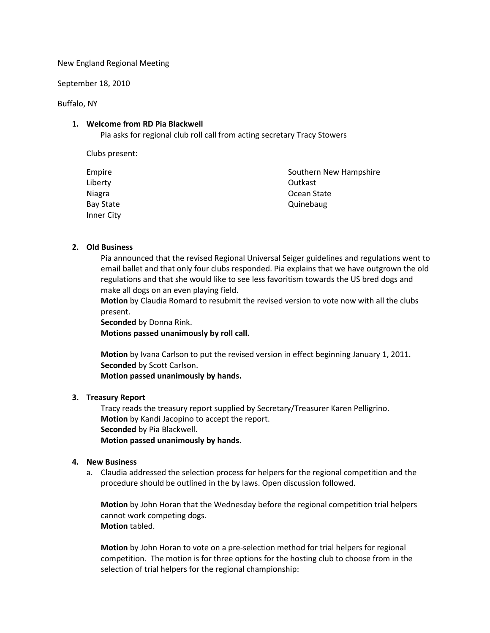New England Regional Meeting

September 18, 2010

Buffalo, NY

## **1. Welcome from RD Pia Blackwell**

Pia asks for regional club roll call from acting secretary Tracy Stowers

Clubs present:

| Empire     | Southern New Hampshire |
|------------|------------------------|
| Liberty    | Outkast                |
| Niagra     | Ocean State            |
| Bay State  | Quinebaug              |
| Inner City |                        |

### **2. Old Business**

Pia announced that the revised Regional Universal Seiger guidelines and regulations went to email ballet and that only four clubs responded. Pia explains that we have outgrown the old regulations and that she would like to see less favoritism towards the US bred dogs and make all dogs on an even playing field.

**Motion** by Claudia Romard to resubmit the revised version to vote now with all the clubs present.

**Seconded** by Donna Rink. **Motions passed unanimously by roll call.** 

**Motion** by Ivana Carlson to put the revised version in effect beginning January 1, 2011. **Seconded** by Scott Carlson.

**Motion passed unanimously by hands.** 

# **3. Treasury Report**

Tracy reads the treasury report supplied by Secretary/Treasurer Karen Pelligrino. **Motion** by Kandi Jacopino to accept the report. **Seconded** by Pia Blackwell. **Motion passed unanimously by hands.** 

# **4. New Business**

a. Claudia addressed the selection process for helpers for the regional competition and the procedure should be outlined in the by laws. Open discussion followed.

**Motion** by John Horan that the Wednesday before the regional competition trial helpers cannot work competing dogs. **Motion** tabled.

**Motion** by John Horan to vote on a pre-selection method for trial helpers for regional competition. The motion is for three options for the hosting club to choose from in the selection of trial helpers for the regional championship: